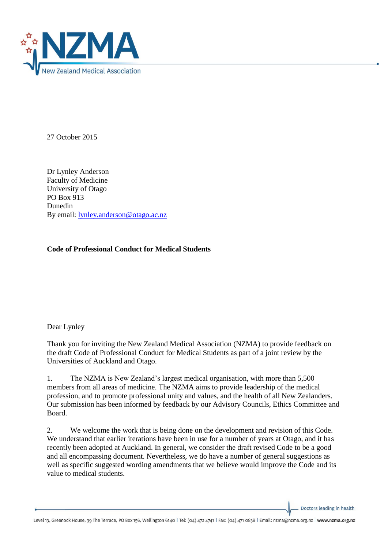

27 October 2015

Dr Lynley Anderson Faculty of Medicine University of Otago PO Box 913 Dunedin By email: [lynley.anderson@otago.ac.nz](mailto:lynley.anderson@otago.ac.nz)

### **Code of Professional Conduct for Medical Students**

### Dear Lynley

Thank you for inviting the New Zealand Medical Association (NZMA) to provide feedback on the draft Code of Professional Conduct for Medical Students as part of a joint review by the Universities of Auckland and Otago.

1. The NZMA is New Zealand's largest medical organisation, with more than 5,500 members from all areas of medicine. The NZMA aims to provide leadership of the medical profession, and to promote professional unity and values, and the health of all New Zealanders. Our submission has been informed by feedback by our Advisory Councils, Ethics Committee and Board.

2. We welcome the work that is being done on the development and revision of this Code. We understand that earlier iterations have been in use for a number of years at Otago, and it has recently been adopted at Auckland. In general, we consider the draft revised Code to be a good and all encompassing document. Nevertheless, we do have a number of general suggestions as well as specific suggested wording amendments that we believe would improve the Code and its value to medical students.

Doctors leading in health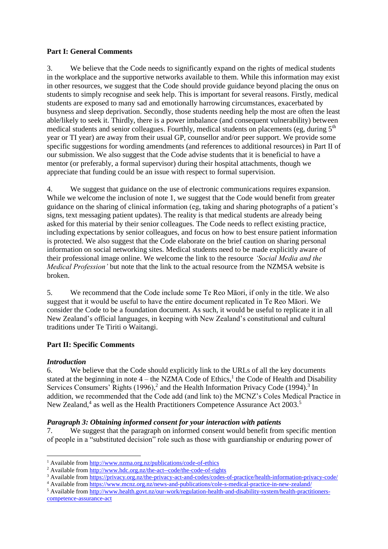### **Part I: General Comments**

3. We believe that the Code needs to significantly expand on the rights of medical students in the workplace and the supportive networks available to them. While this information may exist in other resources, we suggest that the Code should provide guidance beyond placing the onus on students to simply recognise and seek help. This is important for several reasons. Firstly, medical students are exposed to many sad and emotionally harrowing circumstances, exacerbated by busyness and sleep deprivation. Secondly, those students needing help the most are often the least able/likely to seek it. Thirdly, there is a power imbalance (and consequent vulnerability) between medical students and senior colleagues. Fourthly, medical students on placements (eg, during  $5<sup>th</sup>$ year or TI year) are away from their usual GP, counsellor and/or peer support. We provide some specific suggestions for wording amendments (and references to additional resources) in Part II of our submission. We also suggest that the Code advise students that it is beneficial to have a mentor (or preferably, a formal supervisor) during their hospital attachments, though we appreciate that funding could be an issue with respect to formal supervision.

4. We suggest that guidance on the use of electronic communications requires expansion. While we welcome the inclusion of note 1, we suggest that the Code would benefit from greater guidance on the sharing of clinical information (eg, taking and sharing photographs of a patient's signs, text messaging patient updates). The reality is that medical students are already being asked for this material by their senior colleagues. The Code needs to reflect existing practice, including expectations by senior colleagues, and focus on how to best ensure patient information is protected. We also suggest that the Code elaborate on the brief caution on sharing personal information on social networking sites. Medical students need to be made explicitly aware of their professional image online. We welcome the link to the resource *'Social Media and the Medical Profession'* but note that the link to the actual resource from the NZMSA website is broken.

5. We recommend that the Code include some Te Reo Māori, if only in the title. We also suggest that it would be useful to have the entire document replicated in Te Reo Māori. We consider the Code to be a foundation document. As such, it would be useful to replicate it in all New Zealand's official languages, in keeping with New Zealand's constitutional and cultural traditions under Te Tiriti o Waitangi.

# **Part II: Specific Comments**

# *Introduction*

**.** 

6. We believe that the Code should explicitly link to the URLs of all the key documents stated at the beginning in note  $4$  – the NZMA Code of Ethics,<sup>1</sup> the Code of Health and Disability Services Consumers' Rights  $(1996)$ ,<sup>2</sup> and the Health Information Privacy Code  $(1994)$ .<sup>3</sup> In addition, we recommended that the Code add (and link to) the MCNZ's Coles Medical Practice in New Zealand,<sup>4</sup> as well as the Health Practitioners Competence Assurance Act 2003.<sup>5</sup>

# *Paragraph 3: Obtaining informed consent for your interaction with patients*

7. We suggest that the paragraph on informed consent would benefit from specific mention of people in a "substituted decision" role such as those with guardianship or enduring power of

<sup>5</sup> Available fro[m http://www.health.govt.nz/our-work/regulation-health-and-disability-system/health-practitioners](http://www.health.govt.nz/our-work/regulation-health-and-disability-system/health-practitioners-competence-assurance-act)[competence-assurance-act](http://www.health.govt.nz/our-work/regulation-health-and-disability-system/health-practitioners-competence-assurance-act)

<sup>1</sup> Available fro[m http://www.nzma.org.nz/publications/code-of-ethics](http://www.nzma.org.nz/publications/code-of-ethics) 

<sup>&</sup>lt;sup>2</sup> Available from  $\frac{http://www.hdc.org.nz/the-act-code/the-code-of- rights}{http://www.hdc.org.nz/the-act-code/the-code-of- rights}$ 

<sup>&</sup>lt;sup>3</sup> Available fro[m https://privacy.org.nz/the-privacy-act-and-codes/codes-of-practice/health-information-privacy-code/](https://privacy.org.nz/the-privacy-act-and-codes/codes-of-practice/health-information-privacy-code/)

<sup>4</sup> Available fro[m https://www.mcnz.org.nz/news-and-publications/cole-s-medical-practice-in-new-zealand/](https://www.mcnz.org.nz/news-and-publications/cole-s-medical-practice-in-new-zealand/)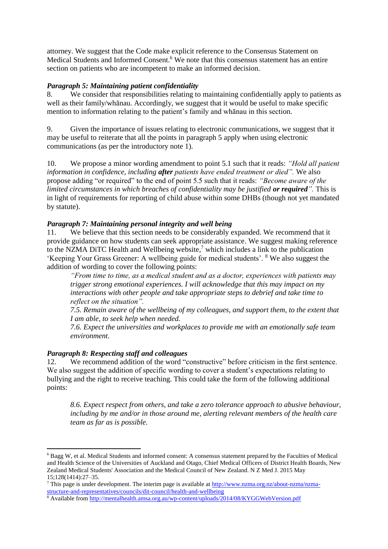attorney. We suggest that the Code make explicit reference to the Consensus Statement on Medical Students and Informed Consent.<sup>6</sup> We note that this consensus statement has an entire section on patients who are incompetent to make an informed decision.

## *Paragraph 5: Maintaining patient confidentiality*

8. We consider that responsibilities relating to maintaining confidentially apply to patients as well as their family/whānau. Accordingly, we suggest that it would be useful to make specific mention to information relating to the patient's family and whānau in this section.

9. Given the importance of issues relating to electronic communications, we suggest that it may be useful to reiterate that all the points in paragraph 5 apply when using electronic communications (as per the introductory note 1).

10. We propose a minor wording amendment to point 5.1 such that it reads: *"Hold all patient information in confidence, including after patients have ended treatment or died".* We also propose adding "or required" to the end of point 5.5 such that it reads: *"Become aware of the limited circumstances in which breaches of confidentiality may be justified or required".* This is in light of requirements for reporting of child abuse within some DHBs (though not yet mandated by statute).

### *Paragraph 7: Maintaining personal integrity and well being*

11. We believe that this section needs to be considerably expanded. We recommend that it provide guidance on how students can seek appropriate assistance. We suggest making reference to the NZMA DiTC Health and Wellbeing website, $\frac{7}{1}$  which includes a link to the publication 'Keeping Your Grass Greener: A wellbeing guide for medical students'. <sup>8</sup> We also suggest the addition of wording to cover the following points:

*"From time to time, as a medical student and as a doctor, experiences with patients may trigger strong emotional experiences. I will acknowledge that this may impact on my interactions with other people and take appropriate steps to debrief and take time to reflect on the situation".* 

*7.5. Remain aware of the wellbeing of my colleagues, and support them, to the extent that I am able, to seek help when needed.*

*7.6. Expect the universities and workplaces to provide me with an emotionally safe team environment.* 

### *Paragraph 8: Respecting staff and colleagues*

 $\overline{a}$ 

12. We recommend addition of the word "constructive" before criticism in the first sentence. We also suggest the addition of specific wording to cover a student's expectations relating to bullying and the right to receive teaching. This could take the form of the following additional points:

*8.6. Expect respect from others, and take a zero tolerance approach to abusive behaviour, including by me and/or in those around me, alerting relevant members of the health care team as far as is possible.*

<sup>6</sup> Bagg W, et al. Medical Students and informed consent: A consensus statement prepared by the Faculties of Medical and Health Science of the Universities of Auckland and Otago, Chief Medical Officers of District Health Boards, New Zealand Medical Students' Association and the Medical Council of New Zealand. N Z Med J. 2015 May 15;128(1414):27–35.

<sup>&</sup>lt;sup>7</sup> This page is under development. The interim page is available at [http://www.nzma.org.nz/about-nzma/nzma](http://www.nzma.org.nz/about-nzma/nzma-structure-and-representatives/councils/dit-council/health-and-wellbeing)[structure-and-representatives/councils/dit-council/health-and-wellbeing](http://www.nzma.org.nz/about-nzma/nzma-structure-and-representatives/councils/dit-council/health-and-wellbeing)

<sup>&</sup>lt;sup>8</sup> Available fro[m http://mentalhealth.amsa.org.au/wp-content/uploads/2014/08/KYGGWebVersion.pdf](http://mentalhealth.amsa.org.au/wp-content/uploads/2014/08/KYGGWebVersion.pdf)